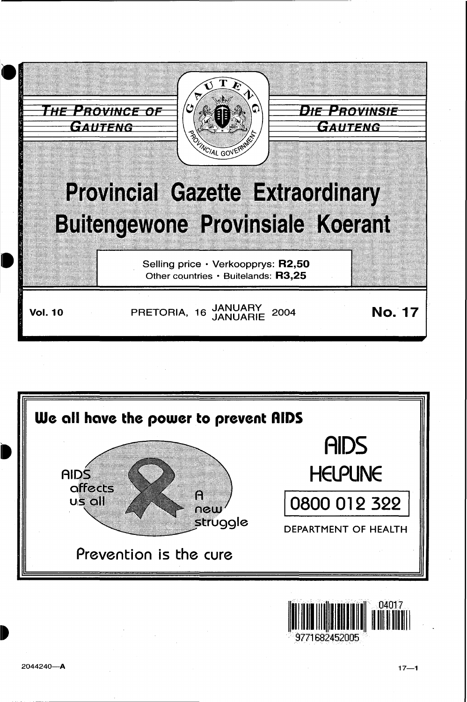



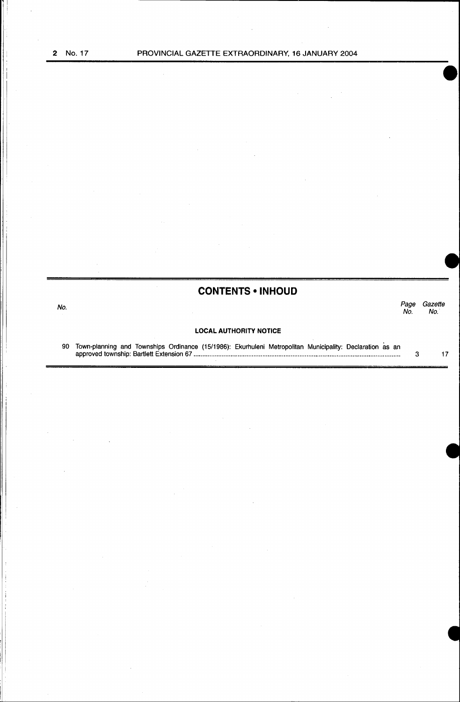; !

# **CONTENTS • INHOUD**

No. *Page Gazette*  No. No.

# **LOCAL AUTHORITY NOTICE**

90 Town-planning and Townships Ordinance (15/1986): Ekurhuleni Metropolitan Municipality: Declaration as an approved township: Bartlett Extension 67 .................................................................................................................... . 3 17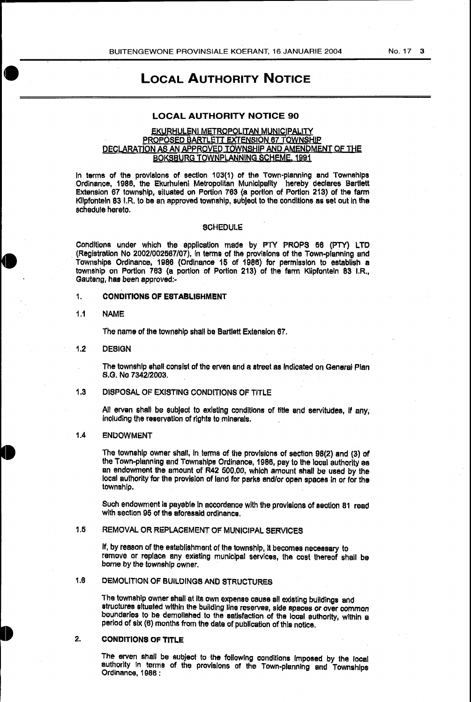LOCAL AUTHORITY NOTICE

# LOCAL AUTHORITY NOTICE 90

# EKURHULENI METROPOLITAN MUNICIPALITY PROPOSED BARTLETT EXTENSION 67 TOWNSHIP DECLARATION AS AN APPROVED TOWNSHIP AND AMENDMENT OF THE BOKSBURG TOWNPLANNING SCHEME, 1991

In terms of the provisions of section 103(1) of the Town-planning and Townships Ordinance, 1986, the Ekurhuleni Metropolitan Municipality hereby declares Bartlett Extension 67 township, situated on Portion 763 (a portion of Portion 213) of the farm Klipfontein 83 I.R. to be an approved township, subject to the conditions as set out in the schedule hereto.

#### **SCHEDULE**

Conditions under which the application made by PTY PROPS 56 (PTY) LTD . (Registration No 2002/002567/07), in terms of the provisions of the Town-planning and Townships Ordinance, 1986 (Ordinance 15 of 1986) for permission to establish a township on Portion 763 {a portion of Portion 213) of the farm Klipfonteln 83 I.R., Gauteng, has been approved:-

# 1. CONDITIONS OF ESTABLISHMENT

#### 1.1 NAME

The name of the township shall be Bartlett Extension 67.

#### 1.2 DESIGN

The township shall consist of the erven and a street as Indicated on General Plan S.G. No 7342/2003.

# 1.3 DISPOSAL OF EXISTING CONDITIONS OF TITLE

All erven shall be subject to existing conditions of title and servitudes, If any, including the reservation of rights to minerals.

#### 1.4 ENDOWMENT

The township owner shall, In. terms of the provisions of section 98(2) and (3) of the Town-planning and Townships Ordinance, 1986, pay to the local authority as an endowment the amount of R42 500,00, which amount shall be used by the local authority for the provision of land for parks and/or open spaces in or tor the township.

Such endowment is payable In accordance with the provisions of section 81 read with section 95 of the aforesaid ordinance.

# 1.5 REMOVAL OR REPLACEMENT OF MUNICIPAL SERVICES

If, by reason of the establishment of the township, It becomes necessary to remove or replace any existing municipal services, the cost thereof shall be borne by the township owner.

# 1.8 DEMOLITION OF BUILDINGS AND STRUCTURES

The township owner shall at its own expense cause all existing buildings and structures situated within the building line reserves, side spaces or over common boundaries to be demolished to the satisfaction of the local authority, within a period of six {6) months from the date of publication of this notice.

# 2. CONDITIONS OF TITLE

The erven shall be subject to the following conditions Imposed by the local authority in terms of the provisions of the Town-planning and Townships Ordinance, 1986 :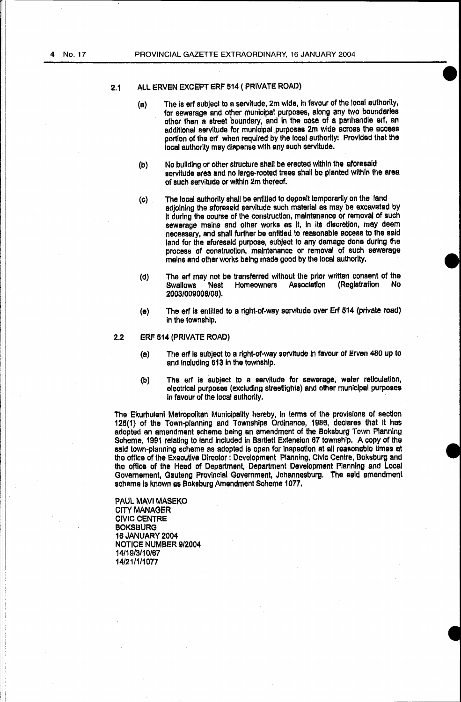# 2.1 ALL ERVEN EXCEPT ERF 514 (PRIVATE ROAD)

- (a) The is erf subject to a servitude, 2m wide, in favour of the local authority, for sewerage and other municipal purposes, along any two boundaries other than a street boundary, and in the case of a panhandle erf, an additional servitude for municipal purposes 2m wide across the access portion of the erf when required by the local authority: Provided that the local authority may dispense with any such servitude.
- (b) No building or other structure shall be erected within the aforesaid servitude area and no large-rooted trees shall be planted within the area of such servitude or within 2m thereof.
- $\langle c \rangle$ The local authority shall be entitled to deposit temporarily on the land adjoining the aforesaid servitude such material as may be excavated by it during the course of the construction, maintenance or removal of such sewerage mains and other works as it, In Its discretion, may deem necessary, and shall further be entitled to reasonable access to the said land for the aforesaid purpose, subject to any damage done during the process of construction, maintenance or removal of such sewerage mains and other works being made good by the local authority.
- (d) The erf may not be transferred without the prior written consent of the<br>Swallows Mest Homeowners Association (Registration No Swallows Nest Homeowners 2003/009008/08).
- (e) The erf is entitled to a right-of-way servitude over Erf 514 (private road) in the township.

# 2.2 ERF 514 (PRIVATE ROAD)

- (a) The erf Is subject to a right-of-way servitude in favour of Erven 480 up to and including 513 in the township.
- (b) The erf is subject to a servitude for sewerage, water reticulation, electrical purposes {excluding streetlights) and other municipal purposes in favour of the local authority.

The Ekurhuleni Metropolitan Municipality hereby, in terms of the provisions of section 125(1) of the Town-planning and Townships Ordinance, 1986, declares that it has adopted an amendment scheme being an amendment of the Boksburg Town Planning Scheme, 1991 relating to land included in Bartlett Extension 67 township. A copy of the said town-planning scheme as adopted is open for Inspection at all reasonable times at the office of the Executive Director : Development Planning, Civic Centre, Boksburg and the office of the Head of Department. Department Development Planning and Local Governement, Gauteng Provincial Government, Johannesburg. The said amendment scheme is known as Boksburg Amendment Scheme 1077.

PAUL MAVI MASEKO CITY MANAGER CIVIC CENTRE BOKSBURG 16 JANUARY 2004 NOTICE NUMBER 9/2004 14/19/3/10/67 14/21/1/1077

i i  $^{\prime}$  i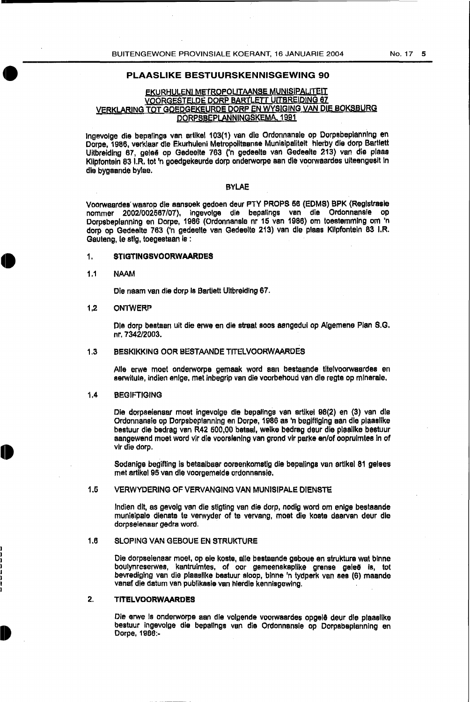#### **PLAASLIKE BESTUURSKENNISGEWING 90**

# EKURHULENI METROPOLITAANSE MUNISIPALITEIT VOORGESTELDE DORP BARTLETT UITBREIDING 67 VERKLARING TOT GOEDGEKEURDE DORP EN WYSIGING VAN DIE BOKSBURG DORPSBEPLANNINGSKEMA, 1991

Jngevolge die bepalings van artikel 103(1) van die Ordonnansle op Dorpsbeplannlng en Dorpe, 1986, verklaar die Ekurhuleni Metropolltaanse Munisipaliteit hlerby die dorp Bartlett Uitbreiding 67, gelee op Gedeelte 763 ('n gedeelte van Gedeelte 213) van die pleas Klipfontein 83 I.R. tot 'n goedgekeurde dorp onderworpe aan die voorwaardes uiteengesit In die bygaande bylae.

#### BYLAE

Voorwaardes' waarop die aansoek gedoen deur PTY PROPS 56 (EDMS) BPK {Reglstrasle nommer 20021002567/07), ingevolge die bepalings van dle Ordonnanaie op Dorpsbeplanning en Dorpe, 1986 (Ordonnansle nr 15 van 1986) om toestemming om 'n dorp op Gedeefte 763 ('n gedeelte van Gedeelte 213) van die plaas Kllpfonteln 83 I.R. Gauteng, te stig, toegestaan is:

#### 1. **STIGTINGSVOORWAARDES**

#### 1.1 NMM

Die naam van die dorp Is Bartlett Ultbreidlng 67.

## 1.2 ONTWERP

Die dorp bestaan uit die erwe en die straat soos aangedul op Algemene Plan S.G. nr. 7342/2003.

#### 1.3 BESKIKKING OOR BESTAANDE TITELVOORWAARDES

Aile erwe moet onderworpe gemaak word aan bestaande titelvoorwaardes en serwitute, indien enlge, met inbegrip van die voorbehoud van die regte op mlnerale.

#### 1.4 BEGIFTIGING

Die dorpselenaar moat ingevolge die bepallngs van artlkel 98(2) en (3) van die Ordonnansie op Oorpsbeplanning en Dorpe, 1986 as 'n beglftlglng aan die plaaalike beatuur die bedrag van R42 600,00 betaal, welke bedrag deur die plaallke bestuur aangewend moet word vir die voorslenlng van grond vir parke en/of ooprulmtes in of vir die dorp.

Sodenige begifting is betaalbaer ooraenkomstlg die bepalings van ertlkel 81 gefees met artlkel 95 van die voorgemelde ordonnansie.

# 1.5 VERWYDERING OF VERVANGING VAN MUNISIPALE DIENSTE

Indian dlt, as gevolg van die stigting van die dorp, nodig word om enlge bestaande munisipale dienste te verwyder of te vervang, moet die koste daarvan deur die dorpseienaar gedra word.

#### 1.6 SLOPING VAN GEBOUE EN STRUKTURE

Die dorpseienaar moet, op eie koste, aile bestaande gaboue en struktura wat binne boulynreserwes, kantruimtes, of oor gemeenskaplike grense galee Is, tot bevrediglng van die plaasllke bestuur sloop, blnne 'n tydperk van sea (6) maande vanaf die datum van publikasle van hlerdle kennisgewing.

#### 2. **TITELVOORWAARDES**

Die erwe is onderworpe aan die volgende voorwaardes opgelê deur die plaaslike bestuur ingevolge die bepalings van die Ordonnansie op Dorpsbaplannlng en Oorpe, 1986:-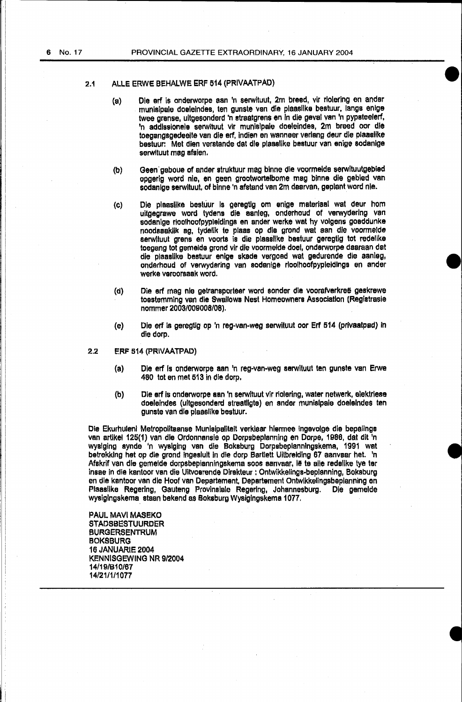#### 2.1 ALLE ERWE BEHALWE ERF 514 (PRIVAATPAD)

- (a) Ole erf is onderworpe aan 'n serwituut, 2m breed, vir rlolering en ander munisipale doeleindes, ten gunste van die plaasllke bestuur, langs enlge twee grense, ultgesonderd 'n straatgrens en In die geval van 'n pypsteelerf, 'n addlssionele serwituut vir munislpale doeleindes, 2m breed oor die toegangsgedeelte van die erf, indien en wanneer verlang deur die plaaslike bestuur: Met dien verstande dat die plaasllke bestuur van enige sodanlge serwituut mag afsien.
- (b) Geen geboue of ander struktuur mag binne die voormelde serwituutgebied opgerig word nle, en geen grootwortelbome mag binne die gebied van sodanlge serwltuut, of binne 'n afstand van 2m daarvan, geplant word nle.
- (C) Die plaaslike bestuur Is geregtlg om enige materiaal wat deur hom uitgegrawe word tydens die aanleg, onderhoud of verwyderlng van sodanige rioolhoofpypleidings en ander werke wat hy volgens goeddunke noodsaaklik ag, tydelik te plaas op die grond wat aan die voormelde serwltuut grens en voorts is die plaaslike bestuur geregtig tot redellke toegang tot gemelde grond vir die voormelde doel, onderworpe daaraan dat die plaaslike bestuur enige skade vergoed wat gedurende die aanleg, onderhoud of verwydering van sodanige rloolhoofpypleidings en ander werke veroorsaak word.
- {d) Die erf mag nie getransporteer word sonder die voorafverkreë geskrewe toestemming van die Swallows Nest Homeowners Association (Registrasie nommer 2003/00QOOS/08).
- (e) Die ert is geregtig op 'n reg-van-weg serwituut oor Erf 514 (privaatpad) in die dorp.
- 2.2 ERF 514 (PRIVAATPAD)
	- (a) Die erf Is onderworpe aan 'n reg-van-weg serwituut ten gunste van Erwe 480 tot en met 513 in die dorp.
	- (b) Die erf Is onderworpe aan 'n serwituut vir riolering, water netwerk, elektriese doeleindes (ultgesonderd streatllgte) en ander munislpale doelelndes ten gunste van die plaaslike bestuur.

Die Ekurhulenl Metropolitaanse Munlsipalitelt verklear hlermee ingevolge die bepalings van artikel 125(1) van die Ordonnansie op Dorpsbeplanning en Dorpe, 1986, dat dlt 'n wyslging synde 'n wyslging van die Boksburg Dorpsbeplanningskema, 1991 wat betrekking het op die grond ingeslult in die dorp Bartlett Uitbreiding 67 aanvaar het. 'n Afskrif van die gemeide dorpsbeplanningskema soos aanvaar, le te alle redelike tye ter insae in die kantoor van die Uitvoerende Direkteur : Ontwikkelings-beplanning, Boksburg en die kantoor van die Hoof van Departement, Departement Ontwikkelingsbeplanning en<br>Plaaslike Regering, Gauteng Provinsiale Regering, Johannesburg. Die gemeide Plaaslike Regering, Gauteng Provinslale Regering, Johannesburg. wysiglngskema staan bekend as Boksburg Wyslglngskema 1077.

PAUL MAVI MASEKO STADSBESTUURDER BURGERSENTRUM BOKSBURG 16 JANUARIE 2004 KENNISGEWING NR 9/2004 14/19/B10/67 14/21/1/1077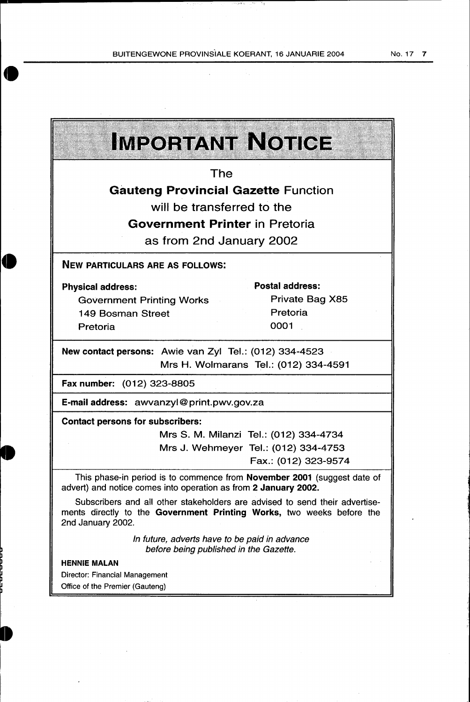BUITENGEWONE PROVINSIALE KOERANT, 16 JANUARIE 2004

 $\bar{z}$ 

 $\hat{\mathcal{A}}$ 

1

 $\hat{\boldsymbol{\beta}}$ 

| <b>IMPORTANT NOTICE</b>                                                                                                                                                   |
|---------------------------------------------------------------------------------------------------------------------------------------------------------------------------|
| The                                                                                                                                                                       |
| <b>Gauteng Provincial Gazette Function</b>                                                                                                                                |
| will be transferred to the                                                                                                                                                |
| <b>Government Printer in Pretoria</b>                                                                                                                                     |
|                                                                                                                                                                           |
| as from 2nd January 2002                                                                                                                                                  |
| <b>NEW PARTICULARS ARE AS FOLLOWS:</b>                                                                                                                                    |
| <b>Postal address:</b><br><b>Physical address:</b>                                                                                                                        |
| Private Bag X85<br><b>Government Printing Works</b>                                                                                                                       |
| Pretoria<br><b>149 Bosman Street</b>                                                                                                                                      |
| 0001<br>Pretoria                                                                                                                                                          |
| New contact persons: Awie van Zyl Tel.: (012) 334-4523<br>Mrs H. Wolmarans Tel.: (012) 334-4591<br>Fax number: (012) 323-8805                                             |
| E-mail address: awvanzyl@print.pwv.gov.za                                                                                                                                 |
| <b>Contact persons for subscribers:</b>                                                                                                                                   |
| Mrs S. M. Milanzi Tel.: (012) 334-4734                                                                                                                                    |
| Mrs J. Wehmeyer Tel.: (012) 334-4753                                                                                                                                      |
| Fax.: (012) 323-9574                                                                                                                                                      |
| This phase-in period is to commence from November 2001 (suggest date of<br>advert) and notice comes into operation as from 2 January 2002.                                |
| Subscribers and all other stakeholders are advised to send their advertise-<br>ments directly to the Government Printing Works, two weeks before the<br>2nd January 2002. |
| In future, adverts have to be paid in advance<br>before being published in the Gazette.                                                                                   |
| <b>HENNIE MALAN</b>                                                                                                                                                       |
| <b>Director: Financial Management</b>                                                                                                                                     |
| Office of the Premier (Gauteng)                                                                                                                                           |